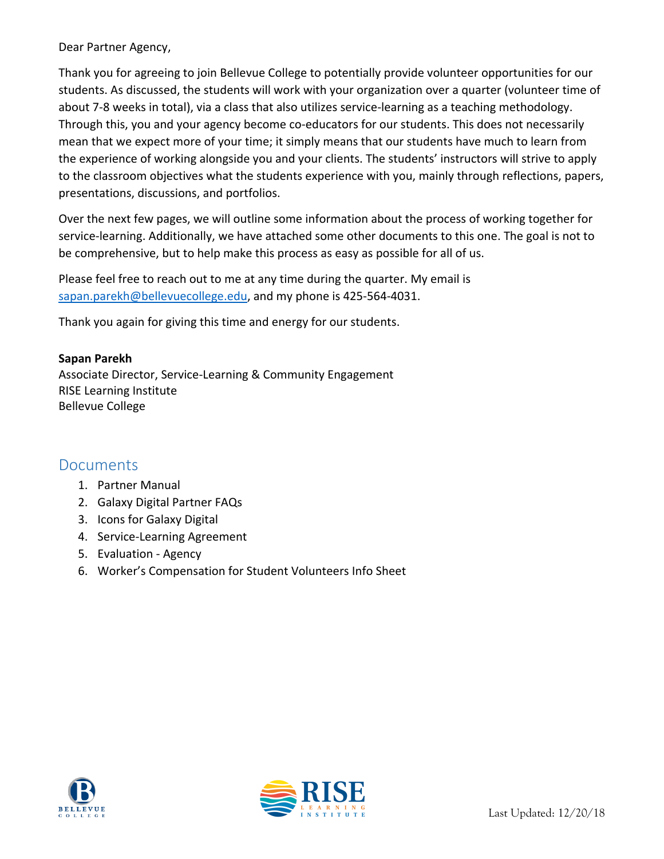#### Dear Partner Agency,

Thank you for agreeing to join Bellevue College to potentially provide volunteer opportunities for our students. As discussed, the students will work with your organization over a quarter (volunteer time of about 7-8 weeks in total), via a class that also utilizes service-learning as a teaching methodology. Through this, you and your agency become co-educators for our students. This does not necessarily mean that we expect more of your time; it simply means that our students have much to learn from the experience of working alongside you and your clients. The students' instructors will strive to apply to the classroom objectives what the students experience with you, mainly through reflections, papers, presentations, discussions, and portfolios.

Over the next few pages, we will outline some information about the process of working together for service-learning. Additionally, we have attached some other documents to this one. The goal is not to be comprehensive, but to help make this process as easy as possible for all of us.

Please feel free to reach out to me at any time during the quarter. My email is [sapan.parekh@bellevuecollege.edu,](mailto:sapan.parekh@bellevuecollege.edu) and my phone is 425-564-4031.

Thank you again for giving this time and energy for our students.

#### **Sapan Parekh**

Associate Director, Service-Learning & Community Engagement RISE Learning Institute Bellevue College

#### Documents

- 1. Partner Manual
- 2. Galaxy Digital Partner FAQs
- 3. Icons for Galaxy Digital
- 4. Service-Learning Agreement
- 5. Evaluation Agency
- 6. Worker's Compensation for Student Volunteers Info Sheet



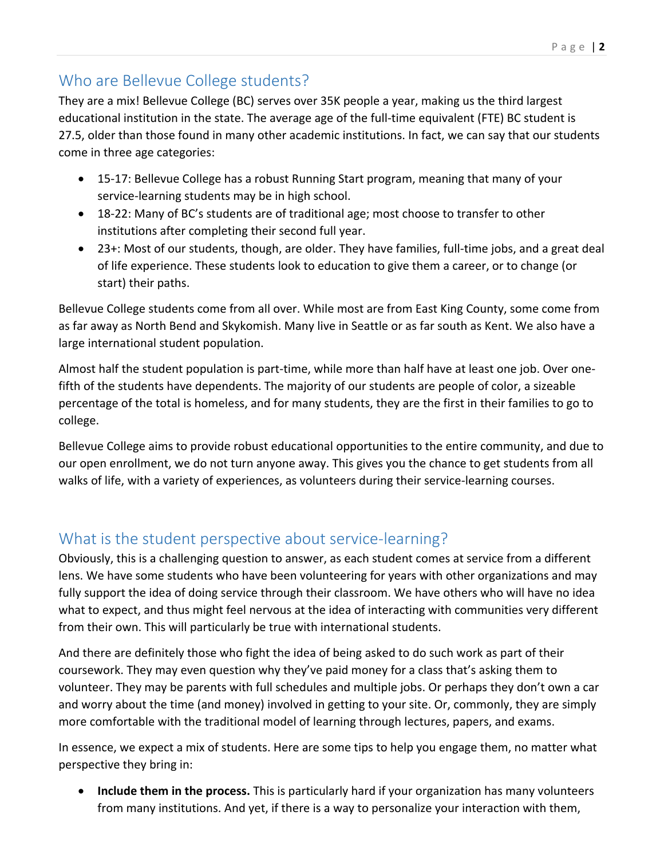# Who are Bellevue College students?

They are a mix! Bellevue College (BC) serves over 35K people a year, making us the third largest educational institution in the state. The average age of the full-time equivalent (FTE) BC student is 27.5, older than those found in many other academic institutions. In fact, we can say that our students come in three age categories:

- 15-17: Bellevue College has a robust Running Start program, meaning that many of your service-learning students may be in high school.
- 18-22: Many of BC's students are of traditional age; most choose to transfer to other institutions after completing their second full year.
- 23+: Most of our students, though, are older. They have families, full-time jobs, and a great deal of life experience. These students look to education to give them a career, or to change (or start) their paths.

Bellevue College students come from all over. While most are from East King County, some come from as far away as North Bend and Skykomish. Many live in Seattle or as far south as Kent. We also have a large international student population.

Almost half the student population is part-time, while more than half have at least one job. Over onefifth of the students have dependents. The majority of our students are people of color, a sizeable percentage of the total is homeless, and for many students, they are the first in their families to go to college.

Bellevue College aims to provide robust educational opportunities to the entire community, and due to our open enrollment, we do not turn anyone away. This gives you the chance to get students from all walks of life, with a variety of experiences, as volunteers during their service-learning courses.

## What is the student perspective about service-learning?

Obviously, this is a challenging question to answer, as each student comes at service from a different lens. We have some students who have been volunteering for years with other organizations and may fully support the idea of doing service through their classroom. We have others who will have no idea what to expect, and thus might feel nervous at the idea of interacting with communities very different from their own. This will particularly be true with international students.

And there are definitely those who fight the idea of being asked to do such work as part of their coursework. They may even question why they've paid money for a class that's asking them to volunteer. They may be parents with full schedules and multiple jobs. Or perhaps they don't own a car and worry about the time (and money) involved in getting to your site. Or, commonly, they are simply more comfortable with the traditional model of learning through lectures, papers, and exams.

In essence, we expect a mix of students. Here are some tips to help you engage them, no matter what perspective they bring in:

 **Include them in the process.** This is particularly hard if your organization has many volunteers from many institutions. And yet, if there is a way to personalize your interaction with them,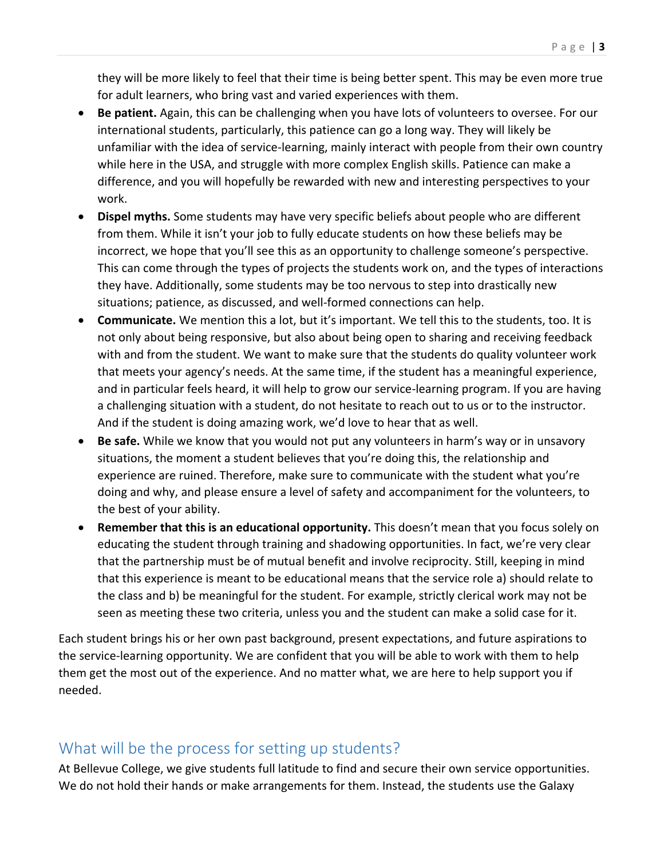they will be more likely to feel that their time is being better spent. This may be even more true for adult learners, who bring vast and varied experiences with them.

- **Be patient.** Again, this can be challenging when you have lots of volunteers to oversee. For our international students, particularly, this patience can go a long way. They will likely be unfamiliar with the idea of service-learning, mainly interact with people from their own country while here in the USA, and struggle with more complex English skills. Patience can make a difference, and you will hopefully be rewarded with new and interesting perspectives to your work.
- **Dispel myths.** Some students may have very specific beliefs about people who are different from them. While it isn't your job to fully educate students on how these beliefs may be incorrect, we hope that you'll see this as an opportunity to challenge someone's perspective. This can come through the types of projects the students work on, and the types of interactions they have. Additionally, some students may be too nervous to step into drastically new situations; patience, as discussed, and well-formed connections can help.
- **Communicate.** We mention this a lot, but it's important. We tell this to the students, too. It is not only about being responsive, but also about being open to sharing and receiving feedback with and from the student. We want to make sure that the students do quality volunteer work that meets your agency's needs. At the same time, if the student has a meaningful experience, and in particular feels heard, it will help to grow our service-learning program. If you are having a challenging situation with a student, do not hesitate to reach out to us or to the instructor. And if the student is doing amazing work, we'd love to hear that as well.
- **Be safe.** While we know that you would not put any volunteers in harm's way or in unsavory situations, the moment a student believes that you're doing this, the relationship and experience are ruined. Therefore, make sure to communicate with the student what you're doing and why, and please ensure a level of safety and accompaniment for the volunteers, to the best of your ability.
- **Remember that this is an educational opportunity.** This doesn't mean that you focus solely on educating the student through training and shadowing opportunities. In fact, we're very clear that the partnership must be of mutual benefit and involve reciprocity. Still, keeping in mind that this experience is meant to be educational means that the service role a) should relate to the class and b) be meaningful for the student. For example, strictly clerical work may not be seen as meeting these two criteria, unless you and the student can make a solid case for it.

Each student brings his or her own past background, present expectations, and future aspirations to the service-learning opportunity. We are confident that you will be able to work with them to help them get the most out of the experience. And no matter what, we are here to help support you if needed.

## What will be the process for setting up students?

At Bellevue College, we give students full latitude to find and secure their own service opportunities. We do not hold their hands or make arrangements for them. Instead, the students use the Galaxy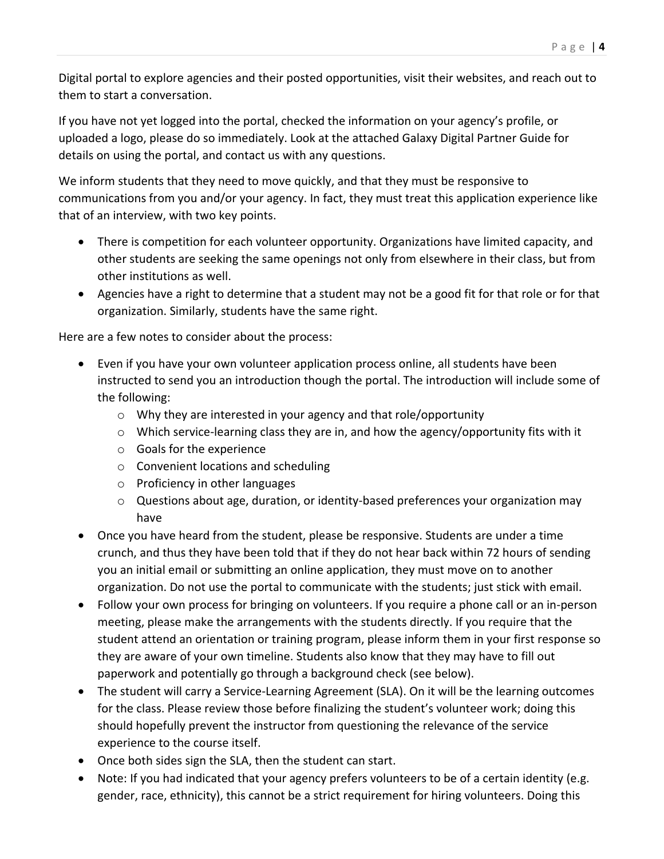Digital portal to explore agencies and their posted opportunities, visit their websites, and reach out to them to start a conversation.

If you have not yet logged into the portal, checked the information on your agency's profile, or uploaded a logo, please do so immediately. Look at the attached Galaxy Digital Partner Guide for details on using the portal, and contact us with any questions.

We inform students that they need to move quickly, and that they must be responsive to communications from you and/or your agency. In fact, they must treat this application experience like that of an interview, with two key points.

- There is competition for each volunteer opportunity. Organizations have limited capacity, and other students are seeking the same openings not only from elsewhere in their class, but from other institutions as well.
- Agencies have a right to determine that a student may not be a good fit for that role or for that organization. Similarly, students have the same right.

Here are a few notes to consider about the process:

- Even if you have your own volunteer application process online, all students have been instructed to send you an introduction though the portal. The introduction will include some of the following:
	- o Why they are interested in your agency and that role/opportunity
	- $\circ$  Which service-learning class they are in, and how the agency/opportunity fits with it
	- o Goals for the experience
	- o Convenient locations and scheduling
	- o Proficiency in other languages
	- o Questions about age, duration, or identity-based preferences your organization may have
- Once you have heard from the student, please be responsive. Students are under a time crunch, and thus they have been told that if they do not hear back within 72 hours of sending you an initial email or submitting an online application, they must move on to another organization. Do not use the portal to communicate with the students; just stick with email.
- Follow your own process for bringing on volunteers. If you require a phone call or an in-person meeting, please make the arrangements with the students directly. If you require that the student attend an orientation or training program, please inform them in your first response so they are aware of your own timeline. Students also know that they may have to fill out paperwork and potentially go through a background check (see below).
- The student will carry a Service-Learning Agreement (SLA). On it will be the learning outcomes for the class. Please review those before finalizing the student's volunteer work; doing this should hopefully prevent the instructor from questioning the relevance of the service experience to the course itself.
- Once both sides sign the SLA, then the student can start.
- Note: If you had indicated that your agency prefers volunteers to be of a certain identity (e.g. gender, race, ethnicity), this cannot be a strict requirement for hiring volunteers. Doing this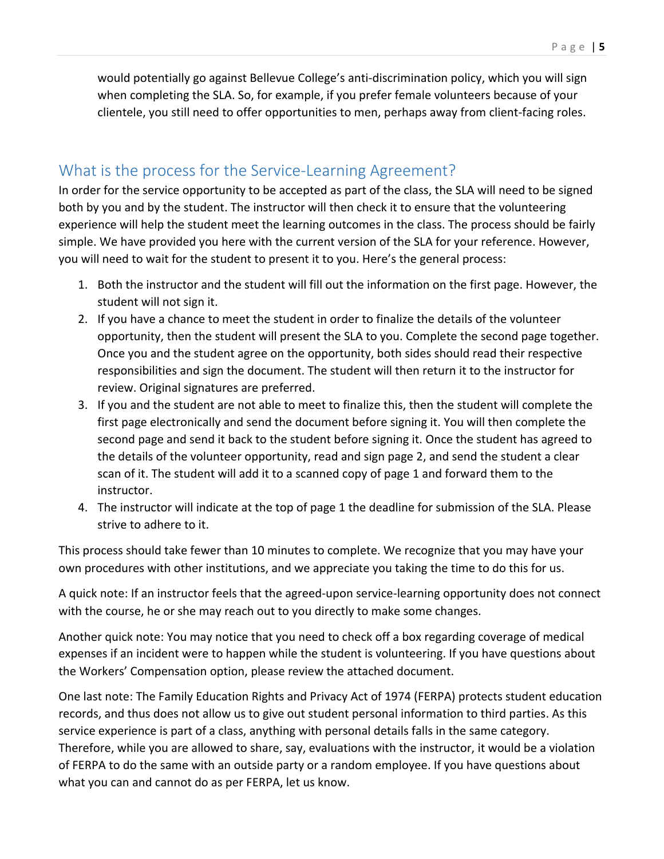would potentially go against Bellevue College's anti-discrimination policy, which you will sign when completing the SLA. So, for example, if you prefer female volunteers because of your clientele, you still need to offer opportunities to men, perhaps away from client-facing roles.

#### What is the process for the Service-Learning Agreement?

In order for the service opportunity to be accepted as part of the class, the SLA will need to be signed both by you and by the student. The instructor will then check it to ensure that the volunteering experience will help the student meet the learning outcomes in the class. The process should be fairly simple. We have provided you here with the current version of the SLA for your reference. However, you will need to wait for the student to present it to you. Here's the general process:

- 1. Both the instructor and the student will fill out the information on the first page. However, the student will not sign it.
- 2. If you have a chance to meet the student in order to finalize the details of the volunteer opportunity, then the student will present the SLA to you. Complete the second page together. Once you and the student agree on the opportunity, both sides should read their respective responsibilities and sign the document. The student will then return it to the instructor for review. Original signatures are preferred.
- 3. If you and the student are not able to meet to finalize this, then the student will complete the first page electronically and send the document before signing it. You will then complete the second page and send it back to the student before signing it. Once the student has agreed to the details of the volunteer opportunity, read and sign page 2, and send the student a clear scan of it. The student will add it to a scanned copy of page 1 and forward them to the instructor.
- 4. The instructor will indicate at the top of page 1 the deadline for submission of the SLA. Please strive to adhere to it.

This process should take fewer than 10 minutes to complete. We recognize that you may have your own procedures with other institutions, and we appreciate you taking the time to do this for us.

A quick note: If an instructor feels that the agreed-upon service-learning opportunity does not connect with the course, he or she may reach out to you directly to make some changes.

Another quick note: You may notice that you need to check off a box regarding coverage of medical expenses if an incident were to happen while the student is volunteering. If you have questions about the Workers' Compensation option, please review the attached document.

One last note: The Family Education Rights and Privacy Act of 1974 (FERPA) protects student education records, and thus does not allow us to give out student personal information to third parties. As this service experience is part of a class, anything with personal details falls in the same category. Therefore, while you are allowed to share, say, evaluations with the instructor, it would be a violation of FERPA to do the same with an outside party or a random employee. If you have questions about what you can and cannot do as per FERPA, let us know.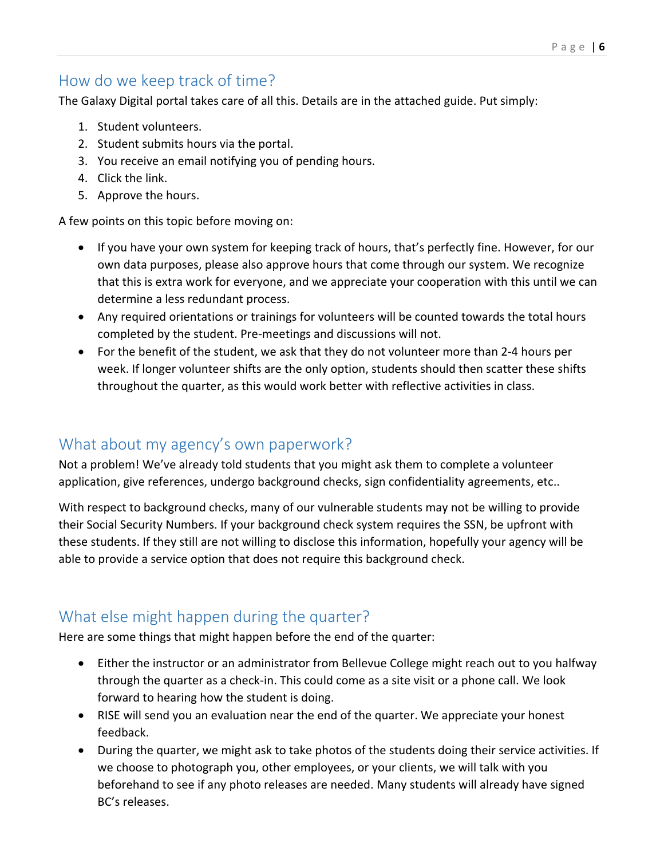# How do we keep track of time?

The Galaxy Digital portal takes care of all this. Details are in the attached guide. Put simply:

- 1. Student volunteers.
- 2. Student submits hours via the portal.
- 3. You receive an email notifying you of pending hours.
- 4. Click the link.
- 5. Approve the hours.

A few points on this topic before moving on:

- If you have your own system for keeping track of hours, that's perfectly fine. However, for our own data purposes, please also approve hours that come through our system. We recognize that this is extra work for everyone, and we appreciate your cooperation with this until we can determine a less redundant process.
- Any required orientations or trainings for volunteers will be counted towards the total hours completed by the student. Pre-meetings and discussions will not.
- For the benefit of the student, we ask that they do not volunteer more than 2-4 hours per week. If longer volunteer shifts are the only option, students should then scatter these shifts throughout the quarter, as this would work better with reflective activities in class.

## What about my agency's own paperwork?

Not a problem! We've already told students that you might ask them to complete a volunteer application, give references, undergo background checks, sign confidentiality agreements, etc..

With respect to background checks, many of our vulnerable students may not be willing to provide their Social Security Numbers. If your background check system requires the SSN, be upfront with these students. If they still are not willing to disclose this information, hopefully your agency will be able to provide a service option that does not require this background check.

## What else might happen during the quarter?

Here are some things that might happen before the end of the quarter:

- Either the instructor or an administrator from Bellevue College might reach out to you halfway through the quarter as a check-in. This could come as a site visit or a phone call. We look forward to hearing how the student is doing.
- RISE will send you an evaluation near the end of the quarter. We appreciate your honest feedback.
- During the quarter, we might ask to take photos of the students doing their service activities. If we choose to photograph you, other employees, or your clients, we will talk with you beforehand to see if any photo releases are needed. Many students will already have signed BC's releases.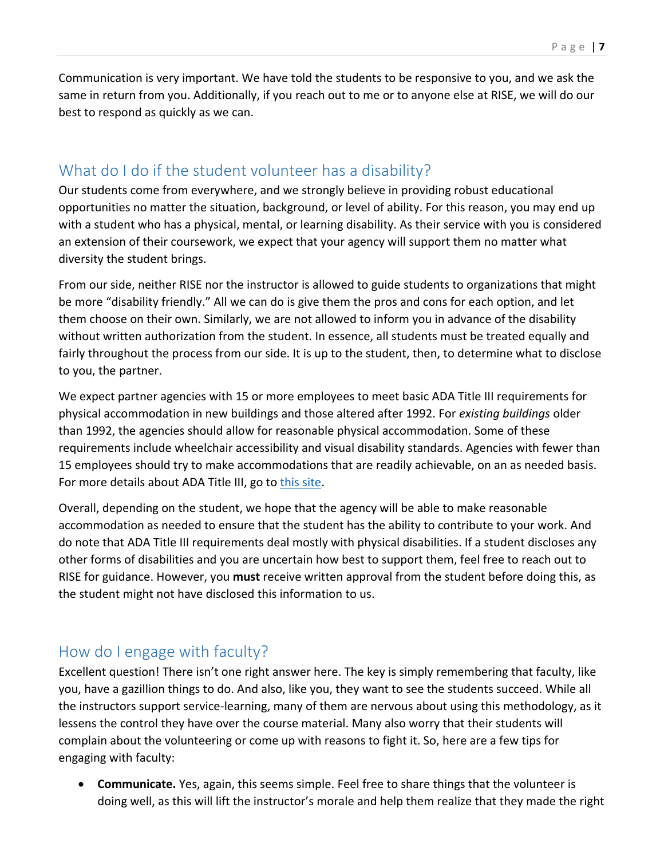Communication is very important. We have told the students to be responsive to you, and we ask the same in return from you. Additionally, if you reach out to me or to anyone else at RISE, we will do our best to respond as quickly as we can.

#### What do I do if the student volunteer has a disability?

Our students come from everywhere, and we strongly believe in providing robust educational opportunities no matter the situation, background, or level of ability. For this reason, you may end up with a student who has a physical, mental, or learning disability. As their service with you is considered an extension of their coursework, we expect that your agency will support them no matter what diversity the student brings.

From our side, neither RISE nor the instructor is allowed to guide students to organizations that might be more "disability friendly." All we can do is give them the pros and cons for each option, and let them choose on their own. Similarly, we are not allowed to inform you in advance of the disability without written authorization from the student. In essence, all students must be treated equally and fairly throughout the process from our side. It is up to the student, then, to determine what to disclose to you, the partner.

We expect partner agencies with 15 or more employees to meet basic ADA Title III requirements for physical accommodation in new buildings and those altered after 1992. For *existing buildings* older than 1992, the agencies should allow for reasonable physical accommodation. Some of these requirements include wheelchair accessibility and visual disability standards. Agencies with fewer than 15 employees should try to make accommodations that are readily achievable, on an as needed basis. For more details about ADA Title III, go to [this site.](https://www.ada.gov/ada_title_III.htm)

Overall, depending on the student, we hope that the agency will be able to make reasonable accommodation as needed to ensure that the student has the ability to contribute to your work. And do note that ADA Title III requirements deal mostly with physical disabilities. If a student discloses any other forms of disabilities and you are uncertain how best to support them, feel free to reach out to RISE for guidance. However, you **must** receive written approval from the student before doing this, as the student might not have disclosed this information to us.

## How do I engage with faculty?

Excellent question! There isn't one right answer here. The key is simply remembering that faculty, like you, have a gazillion things to do. And also, like you, they want to see the students succeed. While all the instructors support service-learning, many of them are nervous about using this methodology, as it lessens the control they have over the course material. Many also worry that their students will complain about the volunteering or come up with reasons to fight it. So, here are a few tips for engaging with faculty:

 **Communicate.** Yes, again, this seems simple. Feel free to share things that the volunteer is doing well, as this will lift the instructor's morale and help them realize that they made the right